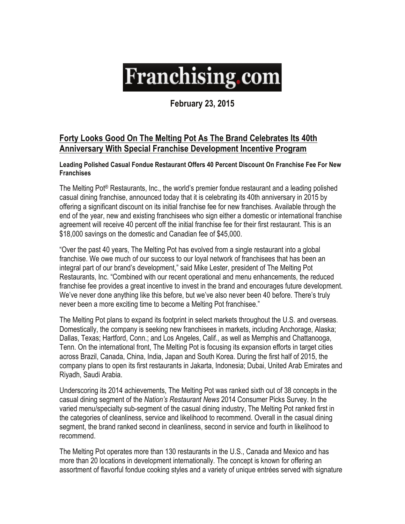## **Franchising.com**

**February 23, 2015** 

## **Forty Looks Good On The Melting Pot As The Brand Celebrates Its 40th Anniversary With Special Franchise Development Incentive Program**

**Leading Polished Casual Fondue Restaurant Offers 40 Percent Discount On Franchise Fee For New Franchises** 

The Melting Pot® Restaurants, Inc., the world's premier fondue restaurant and a leading polished casual dining franchise, announced today that it is celebrating its 40th anniversary in 2015 by offering a significant discount on its initial franchise fee for new franchises. Available through the end of the year, new and existing franchisees who sign either a domestic or international franchise agreement will receive 40 percent off the initial franchise fee for their first restaurant. This is an \$18,000 savings on the domestic and Canadian fee of \$45,000.

"Over the past 40 years, The Melting Pot has evolved from a single restaurant into a global franchise. We owe much of our success to our loyal network of franchisees that has been an integral part of our brand's development," said Mike Lester, president of The Melting Pot Restaurants, Inc. "Combined with our recent operational and menu enhancements, the reduced franchise fee provides a great incentive to invest in the brand and encourages future development. We've never done anything like this before, but we've also never been 40 before. There's truly never been a more exciting time to become a Melting Pot franchisee."

The Melting Pot plans to expand its footprint in select markets throughout the U.S. and overseas. Domestically, the company is seeking new franchisees in markets, including Anchorage, Alaska; Dallas, Texas; Hartford, Conn.; and Los Angeles, Calif., as well as Memphis and Chattanooga, Tenn. On the international front, The Melting Pot is focusing its expansion efforts in target cities across Brazil, Canada, China, India, Japan and South Korea. During the first half of 2015, the company plans to open its first restaurants in Jakarta, Indonesia; Dubai, United Arab Emirates and Riyadh, Saudi Arabia.

Underscoring its 2014 achievements, The Melting Pot was ranked sixth out of 38 concepts in the casual dining segment of the *Nation's Restaurant News* 2014 Consumer Picks Survey. In the varied menu/specialty sub-segment of the casual dining industry, The Melting Pot ranked first in the categories of cleanliness, service and likelihood to recommend. Overall in the casual dining segment, the brand ranked second in cleanliness, second in service and fourth in likelihood to recommend.

The Melting Pot operates more than 130 restaurants in the U.S., Canada and Mexico and has more than 20 locations in development internationally. The concept is known for offering an assortment of flavorful fondue cooking styles and a variety of unique entrées served with signature